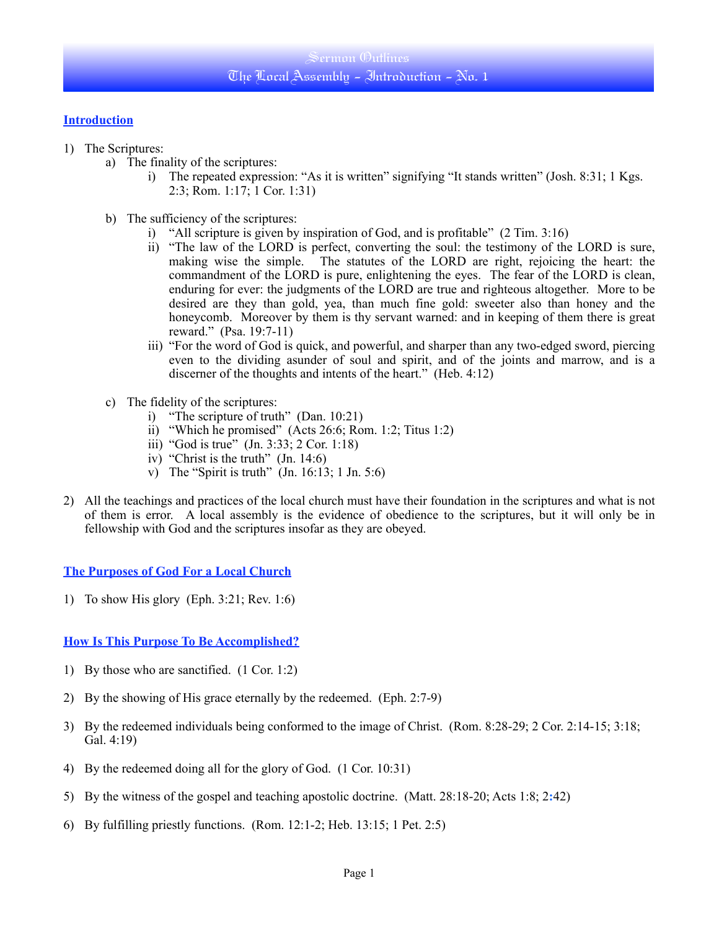## **Introduction**

- 1) The Scriptures:
	- a) The finality of the scriptures:
		- i) The repeated expression: "As it is written" signifying "It stands written" (Josh. 8:31; 1 Kgs. 2:3; Rom. 1:17; 1 Cor. 1:31)
	- b) The sufficiency of the scriptures:
		- i) "All scripture is given by inspiration of God, and is profitable" (2 Tim. 3:16)
		- ii) "The law of the LORD is perfect, converting the soul: the testimony of the LORD is sure, making wise the simple. The statutes of the LORD are right, rejoicing the heart: the commandment of the LORD is pure, enlightening the eyes. The fear of the LORD is clean, enduring for ever: the judgments of the LORD are true and righteous altogether. More to be desired are they than gold, yea, than much fine gold: sweeter also than honey and the honeycomb. Moreover by them is thy servant warned: and in keeping of them there is great reward." (Psa. 19:7-11)
		- iii) "For the word of God is quick, and powerful, and sharper than any two-edged sword, piercing even to the dividing asunder of soul and spirit, and of the joints and marrow, and is a discerner of the thoughts and intents of the heart." (Heb. 4:12)
	- c) The fidelity of the scriptures:
		- i) "The scripture of truth" (Dan. 10:21)
		- ii) "Which he promised" (Acts 26:6; Rom. 1:2; Titus 1:2)
		- iii) "God is true" (Jn. 3:33; 2 Cor. 1:18)
		- iv) "Christ is the truth" (Jn. 14:6)
		- v) The "Spirit is truth" (Jn.  $16:13$ ; 1 Jn.  $5:6$ )
- 2) All the teachings and practices of the local church must have their foundation in the scriptures and what is not of them is error. A local assembly is the evidence of obedience to the scriptures, but it will only be in fellowship with God and the scriptures insofar as they are obeyed.

**The Purposes of God For a Local Church**

1) To show His glory (Eph. 3:21; Rev. 1:6)

**How Is This Purpose To Be Accomplished?**

- 1) By those who are sanctified. (1 Cor. 1:2)
- 2) By the showing of His grace eternally by the redeemed. (Eph. 2:7-9)
- 3) By the redeemed individuals being conformed to the image of Christ. (Rom. 8:28-29; 2 Cor. 2:14-15; 3:18; Gal. 4:19)
- 4) By the redeemed doing all for the glory of God. (1 Cor. 10:31)
- 5) By the witness of the gospel and teaching apostolic doctrine. (Matt. 28:18-20; Acts 1:8; 2**:**42)
- 6) By fulfilling priestly functions. (Rom. 12:1-2; Heb. 13:15; 1 Pet. 2:5)